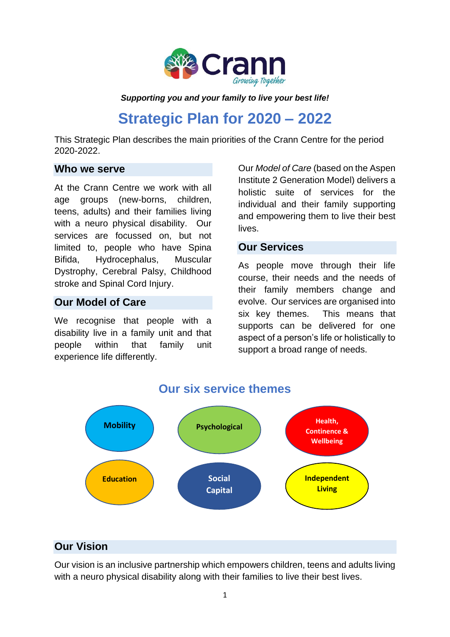

#### *Supporting you and your family to live your best life!*

# **Strategic Plan for 2020 – 2022**

This Strategic Plan describes the main priorities of the Crann Centre for the period 2020-2022.

#### **Who we serve**

At the Crann Centre we work with all age groups (new-borns, children, teens, adults) and their families living with a neuro physical disability. Our services are focussed on, but not limited to, people who have Spina Bifida, Hydrocephalus, Muscular Dystrophy, Cerebral Palsy, Childhood stroke and Spinal Cord Injury.

#### **Our Model of Care**

We recognise that people with a disability live in a family unit and that people within that family unit experience life differently.

Our *Model of Care* (based on the Aspen Institute 2 Generation Model) delivers a holistic suite of services for the individual and their family supporting and empowering them to live their best lives.

#### **Our Services**

As people move through their life course, their needs and the needs of their family members change and evolve. Our services are organised into six key themes. This means that supports can be delivered for one aspect of a person's life or holistically to support a broad range of needs.



#### **Our six service themes**

#### **Our Vision**

Our vision is an inclusive partnership which empowers children, teens and adults living with a neuro physical disability along with their families to live their best lives.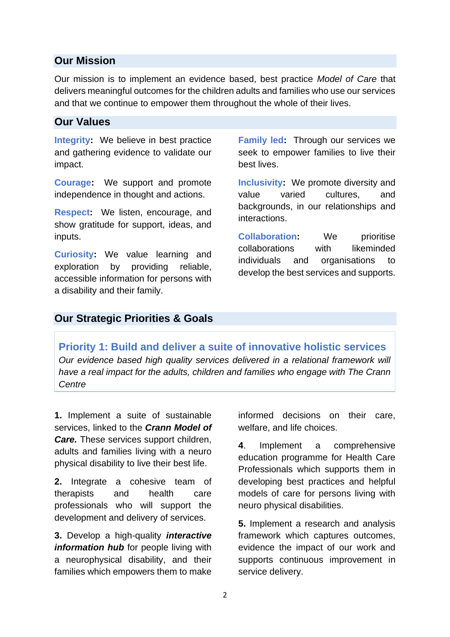#### **Our Mission**

Our mission is to implement an evidence based, best practice *Model of Care* that delivers meaningful outcomes for the children adults and families who use our services and that we continue to empower them throughout the whole of their lives.

#### **Our Values**

**Integrity:** We believe in best practice and gathering evidence to validate our impact.

**Courage:** We support and promote independence in thought and actions.

**Respect:** We listen, encourage, and show gratitude for support, ideas, and inputs.

**Curiosity:** We value learning and exploration by providing reliable, accessible information for persons with a disability and their family.

**Family led:** Through our services we seek to empower families to live their best lives.

**Inclusivity:** We promote diversity and value varied cultures, and backgrounds, in our relationships and interactions.

**Collaboration:** We prioritise collaborations with likeminded individuals and organisations to develop the best services and supports.

#### **Our Strategic Priorities & Goals**

**Priority 1: Build and deliver a suite of innovative holistic services** *Our evidence based high quality services delivered in a relational framework will have a real impact for the adults, children and families who engage with The Crann Centre*

**1.** Implement a suite of sustainable services, linked to the *Crann Model of Care.* These services support children, adults and families living with a neuro physical disability to live their best life.

**2.** Integrate a cohesive team of therapists and health care professionals who will support the development and delivery of services.

**3.** Develop a high-quality *interactive information hub* for people living with a neurophysical disability, and their families which empowers them to make informed decisions on their care, welfare, and life choices.

**4**. Implement a comprehensive education programme for Health Care Professionals which supports them in developing best practices and helpful models of care for persons living with neuro physical disabilities.

**5.** Implement a research and analysis framework which captures outcomes, evidence the impact of our work and supports continuous improvement in service delivery.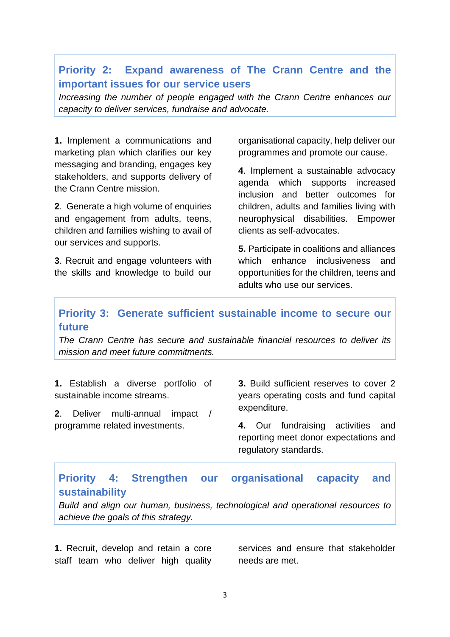### **Priority 2: Expand awareness of The Crann Centre and the important issues for our service users**

*Increasing the number of people engaged with the Crann Centre enhances our capacity to deliver services, fundraise and advocate.*

**1.** Implement a communications and marketing plan which clarifies our key messaging and branding, engages key stakeholders, and supports delivery of the Crann Centre mission.

**2**. Generate a high volume of enquiries and engagement from adults, teens, children and families wishing to avail of our services and supports.

**3**. Recruit and engage volunteers with the skills and knowledge to build our

organisational capacity, help deliver our programmes and promote our cause.

**4**. Implement a sustainable advocacy agenda which supports increased inclusion and better outcomes for children, adults and families living with neurophysical disabilities. Empower clients as self-advocates.

**5.** Participate in coalitions and alliances which enhance inclusiveness and opportunities for the children, teens and adults who use our services.

## **Priority 3: Generate sufficient sustainable income to secure our future**

*The Crann Centre has secure and sustainable financial resources to deliver its mission and meet future commitments.*

**1.** Establish a diverse portfolio of sustainable income streams.

**2**. Deliver multi-annual impact / programme related investments.

**3.** Build sufficient reserves to cover 2 years operating costs and fund capital expenditure.

**4.** Our fundraising activities and reporting meet donor expectations and regulatory standards.

# **Priority 4: Strengthen our organisational capacity and sustainability**

*Build and align our human, business, technological and operational resources to achieve the goals of this strategy.*

**1.** Recruit, develop and retain a core staff team who deliver high quality services and ensure that stakeholder needs are met.